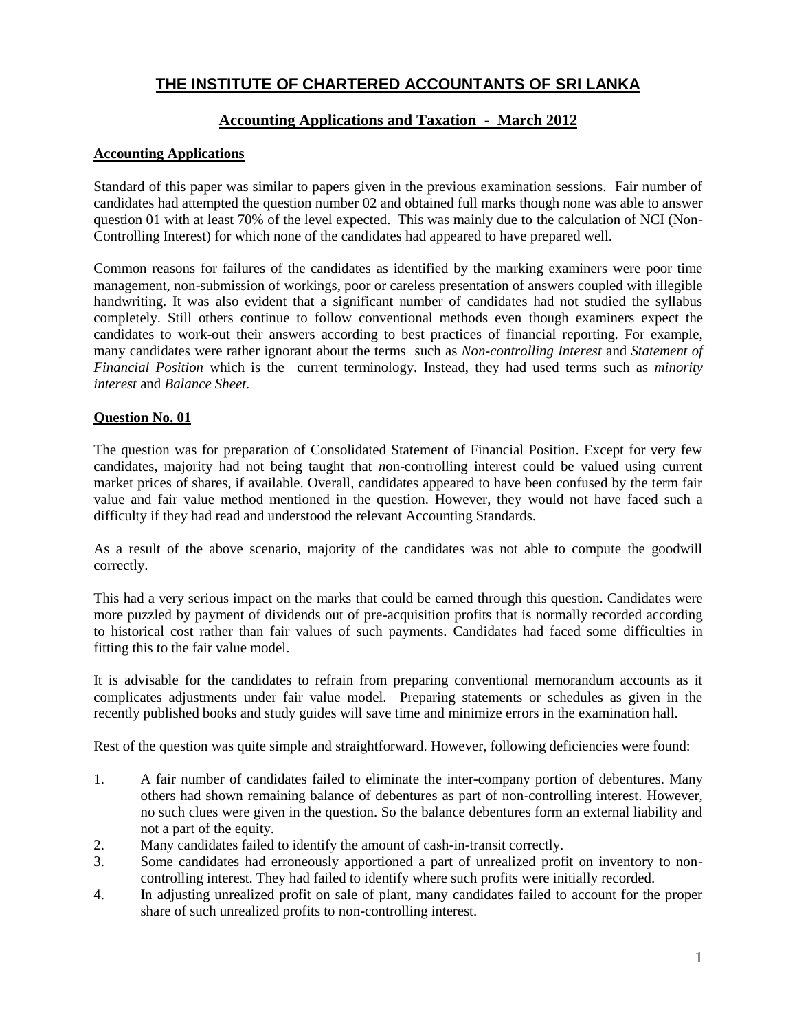# **Accounting Applications and Taxation - March 2012**

# **Accounting Applications**

Standard of this paper was similar to papers given in the previous examination sessions. Fair number of candidates had attempted the question number 02 and obtained full marks though none was able to answer question 01 with at least 70% of the level expected. This was mainly due to the calculation of NCI (Non-Controlling Interest) for which none of the candidates had appeared to have prepared well.

Common reasons for failures of the candidates as identified by the marking examiners were poor time management, non-submission of workings, poor or careless presentation of answers coupled with illegible handwriting. It was also evident that a significant number of candidates had not studied the syllabus completely. Still others continue to follow conventional methods even though examiners expect the candidates to work-out their answers according to best practices of financial reporting. For example, many candidates were rather ignorant about the terms such as *Non-controlling Interest* and *Statement of Financial Position* which is the current terminology. Instead, they had used terms such as *minority interest* and *Balance Sheet*.

# **Question No. 01**

The question was for preparation of Consolidated Statement of Financial Position. Except for very few candidates, majority had not being taught that *n*on-controlling interest could be valued using current market prices of shares, if available. Overall, candidates appeared to have been confused by the term fair value and fair value method mentioned in the question. However, they would not have faced such a difficulty if they had read and understood the relevant Accounting Standards.

As a result of the above scenario, majority of the candidates was not able to compute the goodwill correctly.

This had a very serious impact on the marks that could be earned through this question. Candidates were more puzzled by payment of dividends out of pre-acquisition profits that is normally recorded according to historical cost rather than fair values of such payments. Candidates had faced some difficulties in fitting this to the fair value model.

It is advisable for the candidates to refrain from preparing conventional memorandum accounts as it complicates adjustments under fair value model. Preparing statements or schedules as given in the recently published books and study guides will save time and minimize errors in the examination hall.

Rest of the question was quite simple and straightforward. However, following deficiencies were found:

- 1. A fair number of candidates failed to eliminate the inter-company portion of debentures. Many others had shown remaining balance of debentures as part of non-controlling interest. However, no such clues were given in the question. So the balance debentures form an external liability and not a part of the equity.
- 2. Many candidates failed to identify the amount of cash-in-transit correctly.
- 3. Some candidates had erroneously apportioned a part of unrealized profit on inventory to noncontrolling interest. They had failed to identify where such profits were initially recorded.
- 4. In adjusting unrealized profit on sale of plant, many candidates failed to account for the proper share of such unrealized profits to non-controlling interest.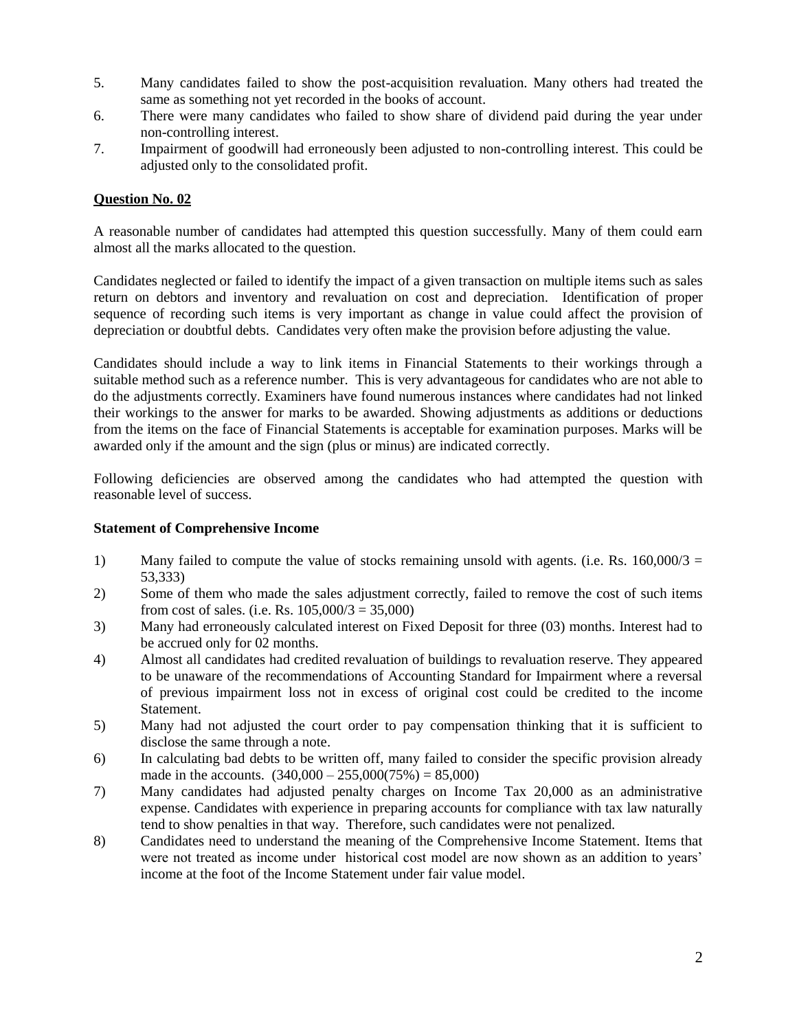- 5. Many candidates failed to show the post-acquisition revaluation. Many others had treated the same as something not yet recorded in the books of account.
- 6. There were many candidates who failed to show share of dividend paid during the year under non-controlling interest.
- 7. Impairment of goodwill had erroneously been adjusted to non-controlling interest. This could be adjusted only to the consolidated profit.

A reasonable number of candidates had attempted this question successfully. Many of them could earn almost all the marks allocated to the question.

Candidates neglected or failed to identify the impact of a given transaction on multiple items such as sales return on debtors and inventory and revaluation on cost and depreciation. Identification of proper sequence of recording such items is very important as change in value could affect the provision of depreciation or doubtful debts. Candidates very often make the provision before adjusting the value.

Candidates should include a way to link items in Financial Statements to their workings through a suitable method such as a reference number. This is very advantageous for candidates who are not able to do the adjustments correctly. Examiners have found numerous instances where candidates had not linked their workings to the answer for marks to be awarded. Showing adjustments as additions or deductions from the items on the face of Financial Statements is acceptable for examination purposes. Marks will be awarded only if the amount and the sign (plus or minus) are indicated correctly.

Following deficiencies are observed among the candidates who had attempted the question with reasonable level of success.

### **Statement of Comprehensive Income**

- 1) Many failed to compute the value of stocks remaining unsold with agents. (i.e. Rs.  $160,000/3 =$ 53,333)
- 2) Some of them who made the sales adjustment correctly, failed to remove the cost of such items from cost of sales. (i.e. Rs.  $105,000/3 = 35,000$ )
- 3) Many had erroneously calculated interest on Fixed Deposit for three (03) months. Interest had to be accrued only for 02 months.
- 4) Almost all candidates had credited revaluation of buildings to revaluation reserve. They appeared to be unaware of the recommendations of Accounting Standard for Impairment where a reversal of previous impairment loss not in excess of original cost could be credited to the income Statement.
- 5) Many had not adjusted the court order to pay compensation thinking that it is sufficient to disclose the same through a note.
- 6) In calculating bad debts to be written off, many failed to consider the specific provision already made in the accounts.  $(340,000 - 255,000(75\%) = 85,000$
- 7) Many candidates had adjusted penalty charges on Income Tax 20,000 as an administrative expense. Candidates with experience in preparing accounts for compliance with tax law naturally tend to show penalties in that way. Therefore, such candidates were not penalized.
- 8) Candidates need to understand the meaning of the Comprehensive Income Statement. Items that were not treated as income under historical cost model are now shown as an addition to years' income at the foot of the Income Statement under fair value model.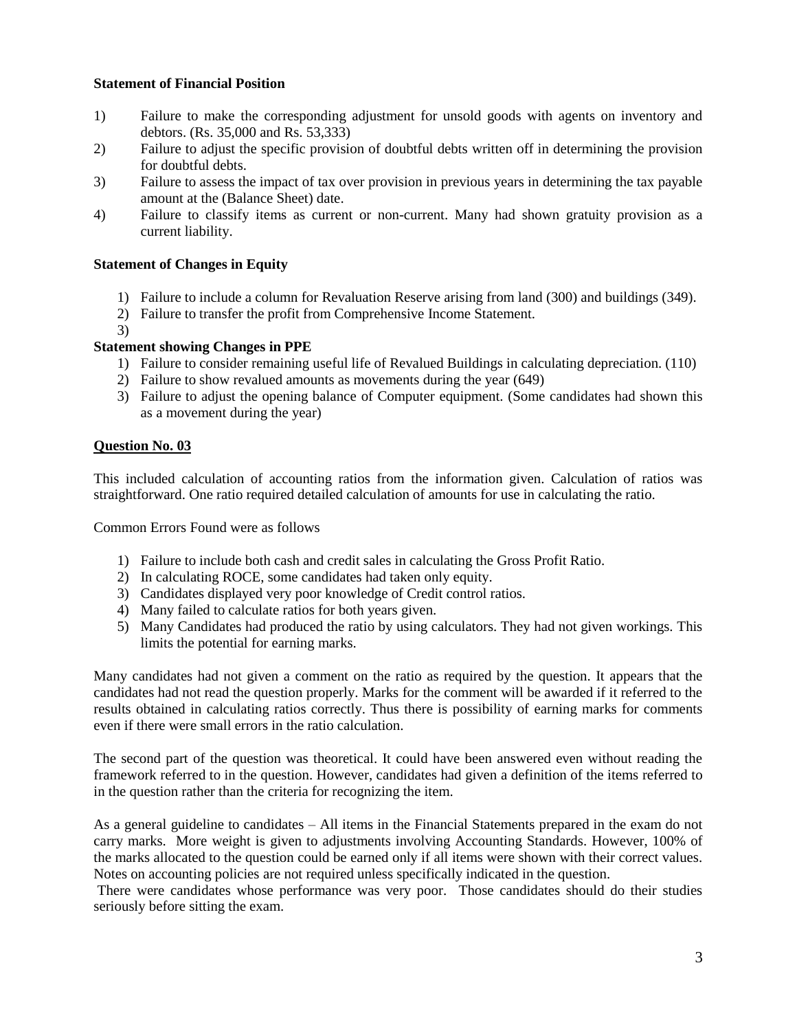### **Statement of Financial Position**

- 1) Failure to make the corresponding adjustment for unsold goods with agents on inventory and debtors. (Rs. 35,000 and Rs. 53,333)
- 2) Failure to adjust the specific provision of doubtful debts written off in determining the provision for doubtful debts.
- 3) Failure to assess the impact of tax over provision in previous years in determining the tax payable amount at the (Balance Sheet) date.
- 4) Failure to classify items as current or non-current. Many had shown gratuity provision as a current liability.

# **Statement of Changes in Equity**

- 1) Failure to include a column for Revaluation Reserve arising from land (300) and buildings (349).
- 2) Failure to transfer the profit from Comprehensive Income Statement.
- 3)

# **Statement showing Changes in PPE**

- 1) Failure to consider remaining useful life of Revalued Buildings in calculating depreciation. (110)
- 2) Failure to show revalued amounts as movements during the year (649)
- 3) Failure to adjust the opening balance of Computer equipment. (Some candidates had shown this as a movement during the year)

# **Question No. 03**

This included calculation of accounting ratios from the information given. Calculation of ratios was straightforward. One ratio required detailed calculation of amounts for use in calculating the ratio.

Common Errors Found were as follows

- 1) Failure to include both cash and credit sales in calculating the Gross Profit Ratio.
- 2) In calculating ROCE, some candidates had taken only equity.
- 3) Candidates displayed very poor knowledge of Credit control ratios.
- 4) Many failed to calculate ratios for both years given.
- 5) Many Candidates had produced the ratio by using calculators. They had not given workings. This limits the potential for earning marks.

Many candidates had not given a comment on the ratio as required by the question. It appears that the candidates had not read the question properly. Marks for the comment will be awarded if it referred to the results obtained in calculating ratios correctly. Thus there is possibility of earning marks for comments even if there were small errors in the ratio calculation.

The second part of the question was theoretical. It could have been answered even without reading the framework referred to in the question. However, candidates had given a definition of the items referred to in the question rather than the criteria for recognizing the item.

As a general guideline to candidates – All items in the Financial Statements prepared in the exam do not carry marks. More weight is given to adjustments involving Accounting Standards. However, 100% of the marks allocated to the question could be earned only if all items were shown with their correct values. Notes on accounting policies are not required unless specifically indicated in the question.

There were candidates whose performance was very poor. Those candidates should do their studies seriously before sitting the exam.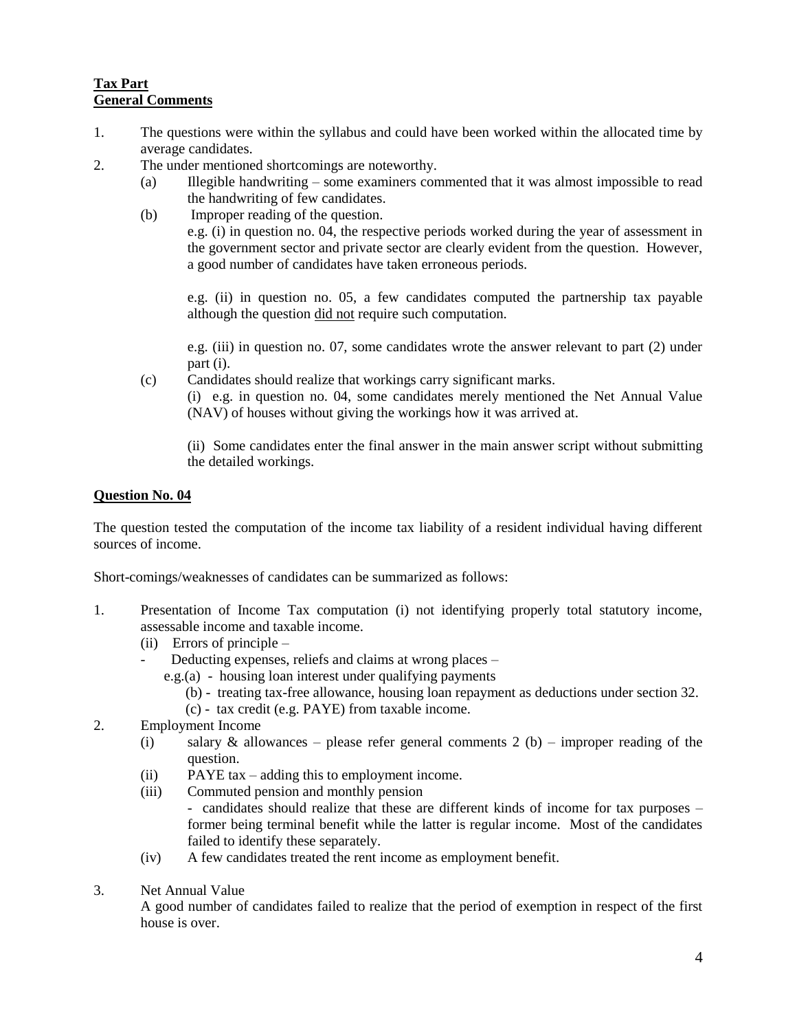# **Tax Part General Comments**

- 1. The questions were within the syllabus and could have been worked within the allocated time by average candidates.
- 2. The under mentioned shortcomings are noteworthy.
	- (a) Illegible handwriting some examiners commented that it was almost impossible to read the handwriting of few candidates.
	- (b) Improper reading of the question. e.g. (i) in question no. 04, the respective periods worked during the year of assessment in the government sector and private sector are clearly evident from the question. However, a good number of candidates have taken erroneous periods.

e.g. (ii) in question no. 05, a few candidates computed the partnership tax payable although the question did not require such computation.

e.g. (iii) in question no. 07, some candidates wrote the answer relevant to part (2) under part (i).

(c) Candidates should realize that workings carry significant marks. (i) e.g. in question no. 04, some candidates merely mentioned the Net Annual Value (NAV) of houses without giving the workings how it was arrived at.

(ii) Some candidates enter the final answer in the main answer script without submitting the detailed workings.

# **Question No. 04**

The question tested the computation of the income tax liability of a resident individual having different sources of income.

Short-comings/weaknesses of candidates can be summarized as follows:

- 1. Presentation of Income Tax computation (i) not identifying properly total statutory income, assessable income and taxable income.
	- (ii) Errors of principle  $-$ 
		- Deducting expenses, reliefs and claims at wrong places
			- e.g.(a) housing loan interest under qualifying payments
				- (b) treating tax-free allowance, housing loan repayment as deductions under section 32.
				- (c) tax credit (e.g. PAYE) from taxable income.
- 2. Employment Income
	- (i) salary & allowances please refer general comments 2 (b) improper reading of the question.
	- (ii) PAYE tax adding this to employment income.
	- (iii) Commuted pension and monthly pension
		- candidates should realize that these are different kinds of income for tax purposes former being terminal benefit while the latter is regular income. Most of the candidates failed to identify these separately.
	- (iv) A few candidates treated the rent income as employment benefit.
- 3. Net Annual Value

A good number of candidates failed to realize that the period of exemption in respect of the first house is over.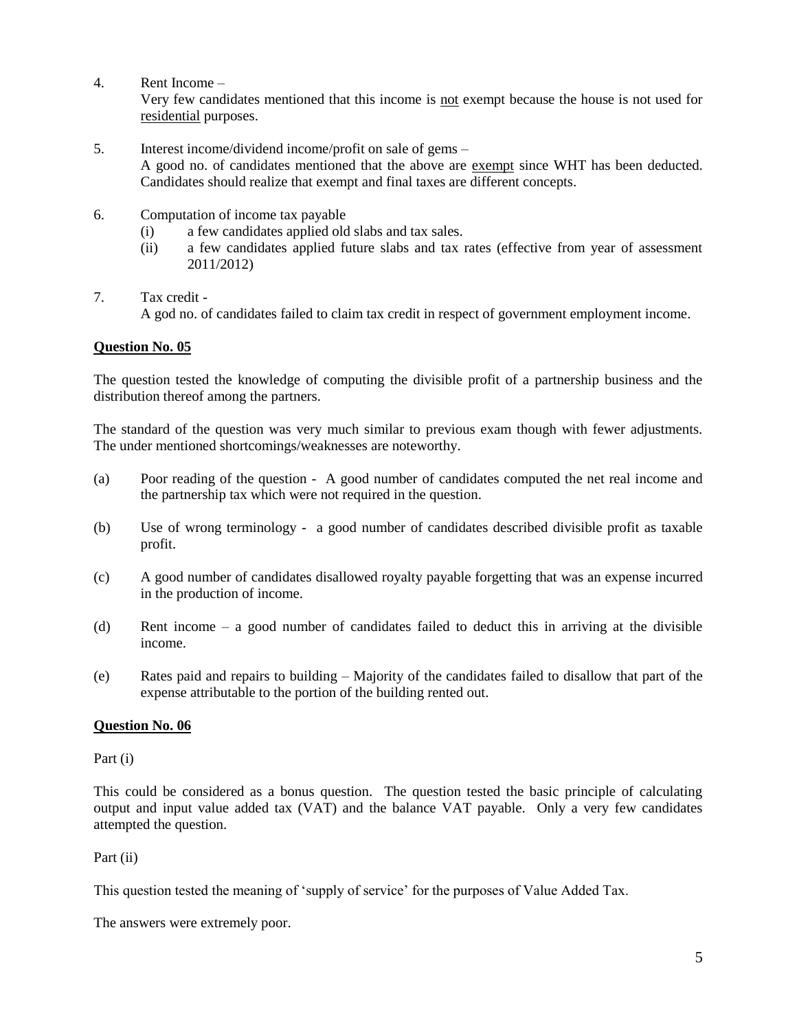4. Rent Income –

Very few candidates mentioned that this income is not exempt because the house is not used for residential purposes.

- 5. Interest income/dividend income/profit on sale of gems A good no. of candidates mentioned that the above are exempt since WHT has been deducted. Candidates should realize that exempt and final taxes are different concepts.
- 6. Computation of income tax payable
	- (i) a few candidates applied old slabs and tax sales.
	- (ii) a few candidates applied future slabs and tax rates (effective from year of assessment 2011/2012)
- 7. Tax credit A god no. of candidates failed to claim tax credit in respect of government employment income.

# **Question No. 05**

The question tested the knowledge of computing the divisible profit of a partnership business and the distribution thereof among the partners.

The standard of the question was very much similar to previous exam though with fewer adjustments. The under mentioned shortcomings/weaknesses are noteworthy.

- (a) Poor reading of the question A good number of candidates computed the net real income and the partnership tax which were not required in the question.
- (b) Use of wrong terminology a good number of candidates described divisible profit as taxable profit.
- (c) A good number of candidates disallowed royalty payable forgetting that was an expense incurred in the production of income.
- (d) Rent income a good number of candidates failed to deduct this in arriving at the divisible income.
- (e) Rates paid and repairs to building Majority of the candidates failed to disallow that part of the expense attributable to the portion of the building rented out.

### **Question No. 06**

Part (i)

This could be considered as a bonus question. The question tested the basic principle of calculating output and input value added tax (VAT) and the balance VAT payable. Only a very few candidates attempted the question.

Part (ii)

This question tested the meaning of 'supply of service' for the purposes of Value Added Tax.

The answers were extremely poor.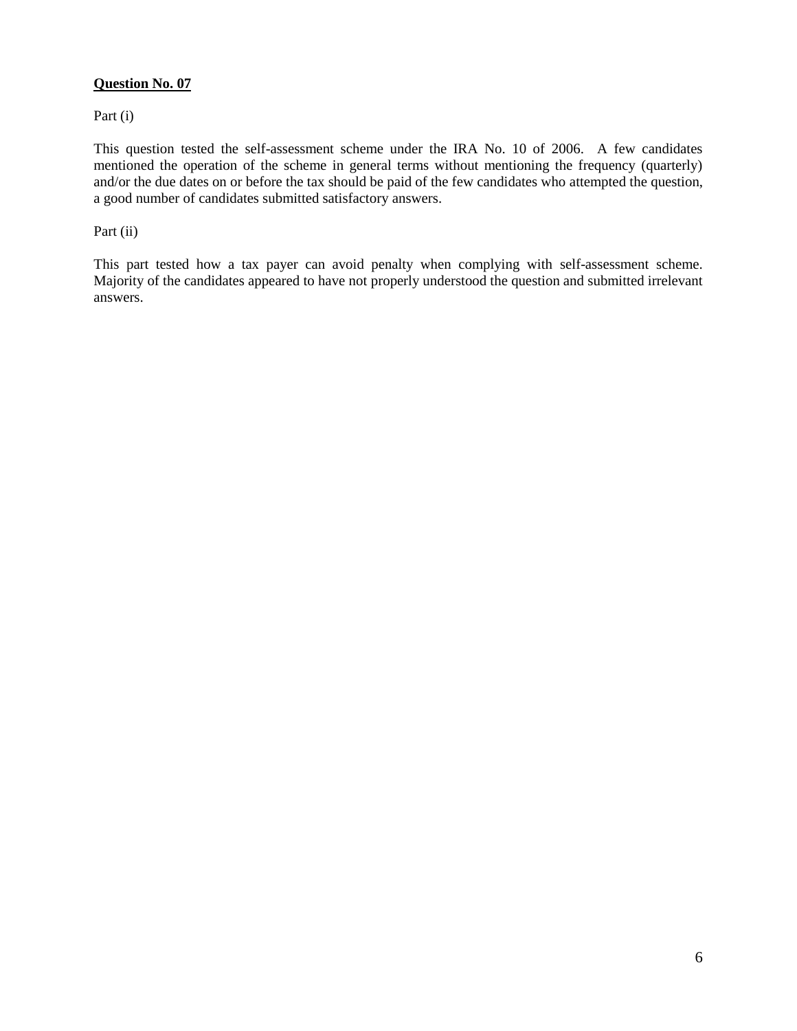Part (i)

This question tested the self-assessment scheme under the IRA No. 10 of 2006. A few candidates mentioned the operation of the scheme in general terms without mentioning the frequency (quarterly) and/or the due dates on or before the tax should be paid of the few candidates who attempted the question, a good number of candidates submitted satisfactory answers.

### Part (ii)

This part tested how a tax payer can avoid penalty when complying with self-assessment scheme. Majority of the candidates appeared to have not properly understood the question and submitted irrelevant answers.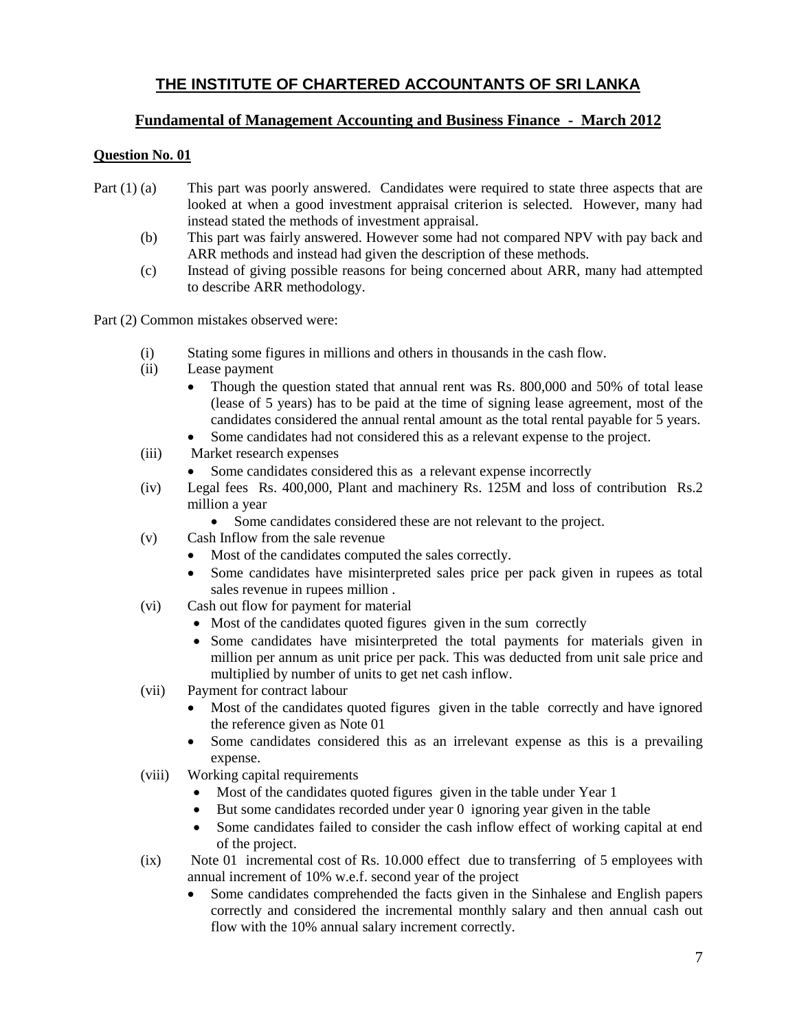# **Fundamental of Management Accounting and Business Finance - March 2012**

# **Question No. 01**

- Part (1) (a) This part was poorly answered. Candidates were required to state three aspects that are looked at when a good investment appraisal criterion is selected. However, many had instead stated the methods of investment appraisal.
	- (b) This part was fairly answered. However some had not compared NPV with pay back and ARR methods and instead had given the description of these methods.
	- (c) Instead of giving possible reasons for being concerned about ARR, many had attempted to describe ARR methodology.

Part (2) Common mistakes observed were:

- (i) Stating some figures in millions and others in thousands in the cash flow.
- (ii) Lease payment
	- Though the question stated that annual rent was Rs. 800,000 and 50% of total lease (lease of 5 years) has to be paid at the time of signing lease agreement, most of the candidates considered the annual rental amount as the total rental payable for 5 years.
	- Some candidates had not considered this as a relevant expense to the project.
- (iii) Market research expenses
	- Some candidates considered this as a relevant expense incorrectly
- (iv) Legal fees Rs. 400,000, Plant and machinery Rs. 125M and loss of contribution Rs.2 million a year
	- Some candidates considered these are not relevant to the project.
- (v) Cash Inflow from the sale revenue
	- Most of the candidates computed the sales correctly.
	- Some candidates have misinterpreted sales price per pack given in rupees as total sales revenue in rupees million .
- (vi) Cash out flow for payment for material
	- Most of the candidates quoted figures given in the sum correctly
	- Some candidates have misinterpreted the total payments for materials given in million per annum as unit price per pack. This was deducted from unit sale price and multiplied by number of units to get net cash inflow.
- (vii) Payment for contract labour
	- Most of the candidates quoted figures given in the table correctly and have ignored the reference given as Note 01
	- Some candidates considered this as an irrelevant expense as this is a prevailing expense.
- (viii) Working capital requirements
	- Most of the candidates quoted figures given in the table under Year 1
	- But some candidates recorded under year 0 ignoring year given in the table
	- Some candidates failed to consider the cash inflow effect of working capital at end of the project.
- (ix) Note 01 incremental cost of Rs. 10.000 effect due to transferring of 5 employees with annual increment of 10% w.e.f. second year of the project
	- Some candidates comprehended the facts given in the Sinhalese and English papers correctly and considered the incremental monthly salary and then annual cash out flow with the 10% annual salary increment correctly.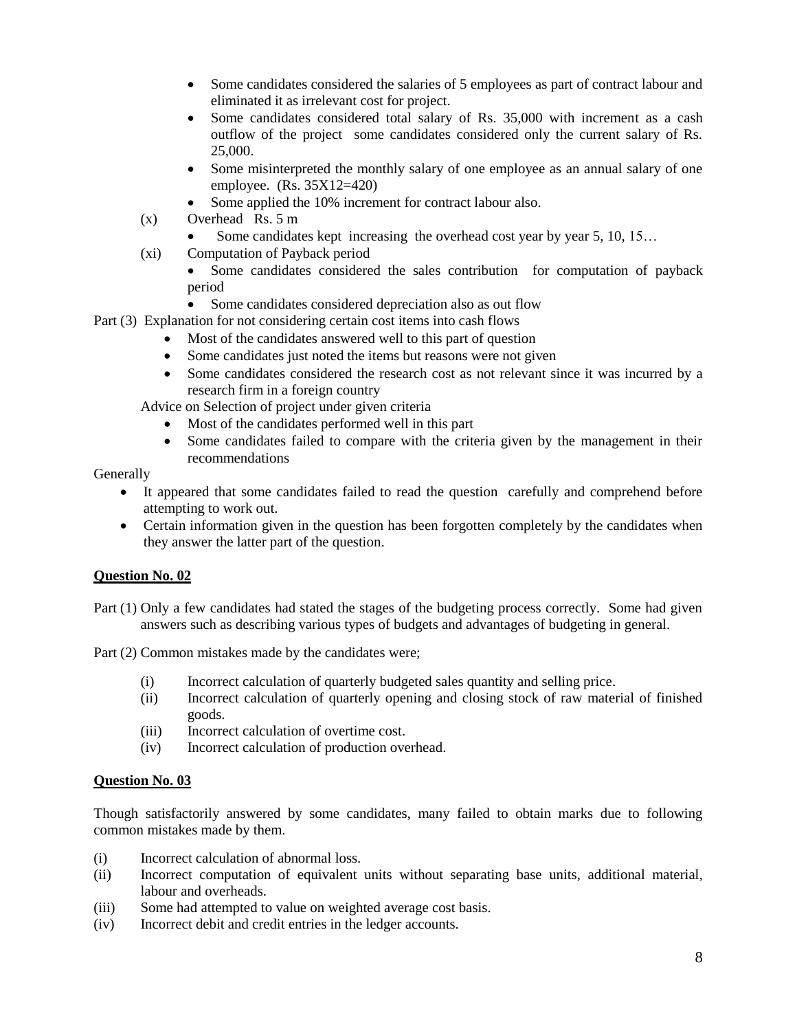- Some candidates considered the salaries of 5 employees as part of contract labour and eliminated it as irrelevant cost for project.
- Some candidates considered total salary of Rs. 35,000 with increment as a cash outflow of the project some candidates considered only the current salary of Rs. 25,000.
- Some misinterpreted the monthly salary of one employee as an annual salary of one employee. (Rs. 35X12=420)
- Some applied the 10% increment for contract labour also.
- (x) Overhead Rs. 5 m
	- Some candidates kept increasing the overhead cost year by year 5, 10, 15...
- (xi) Computation of Payback period
	- Some candidates considered the sales contribution for computation of payback period
	- Some candidates considered depreciation also as out flow
- Part (3) Explanation for not considering certain cost items into cash flows
	- Most of the candidates answered well to this part of question
	- Some candidates just noted the items but reasons were not given
	- Some candidates considered the research cost as not relevant since it was incurred by a research firm in a foreign country

Advice on Selection of project under given criteria

- Most of the candidates performed well in this part
- Some candidates failed to compare with the criteria given by the management in their recommendations

### Generally

- It appeared that some candidates failed to read the question carefully and comprehend before attempting to work out.
- Certain information given in the question has been forgotten completely by the candidates when they answer the latter part of the question.

# **Question No. 02**

Part (1) Only a few candidates had stated the stages of the budgeting process correctly. Some had given answers such as describing various types of budgets and advantages of budgeting in general.

Part (2) Common mistakes made by the candidates were;

- (i) Incorrect calculation of quarterly budgeted sales quantity and selling price.
- (ii) Incorrect calculation of quarterly opening and closing stock of raw material of finished goods.
- (iii) Incorrect calculation of overtime cost.
- (iv) Incorrect calculation of production overhead.

# **Question No. 03**

Though satisfactorily answered by some candidates, many failed to obtain marks due to following common mistakes made by them.

- (i) Incorrect calculation of abnormal loss.
- (ii) Incorrect computation of equivalent units without separating base units, additional material, labour and overheads.
- (iii) Some had attempted to value on weighted average cost basis.
- (iv) Incorrect debit and credit entries in the ledger accounts.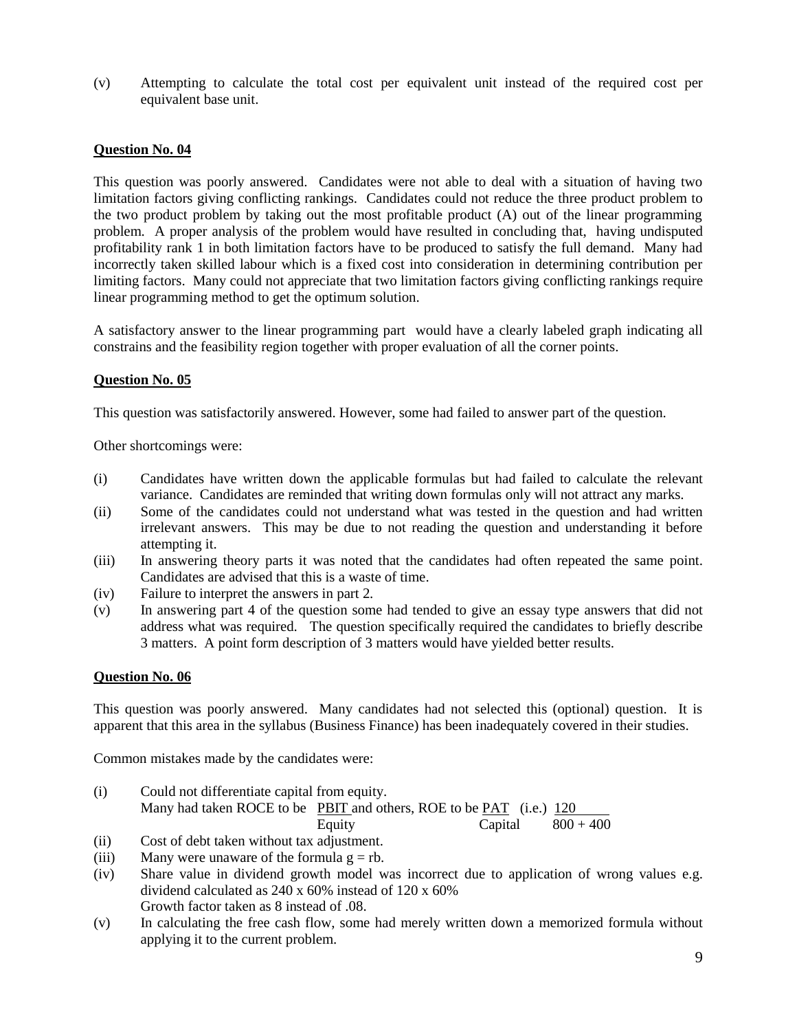(v) Attempting to calculate the total cost per equivalent unit instead of the required cost per equivalent base unit.

# **Question No. 04**

This question was poorly answered. Candidates were not able to deal with a situation of having two limitation factors giving conflicting rankings. Candidates could not reduce the three product problem to the two product problem by taking out the most profitable product (A) out of the linear programming problem. A proper analysis of the problem would have resulted in concluding that, having undisputed profitability rank 1 in both limitation factors have to be produced to satisfy the full demand. Many had incorrectly taken skilled labour which is a fixed cost into consideration in determining contribution per limiting factors. Many could not appreciate that two limitation factors giving conflicting rankings require linear programming method to get the optimum solution.

A satisfactory answer to the linear programming part would have a clearly labeled graph indicating all constrains and the feasibility region together with proper evaluation of all the corner points.

### **Question No. 05**

This question was satisfactorily answered. However, some had failed to answer part of the question.

Other shortcomings were:

- (i) Candidates have written down the applicable formulas but had failed to calculate the relevant variance. Candidates are reminded that writing down formulas only will not attract any marks.
- (ii) Some of the candidates could not understand what was tested in the question and had written irrelevant answers. This may be due to not reading the question and understanding it before attempting it.
- (iii) In answering theory parts it was noted that the candidates had often repeated the same point. Candidates are advised that this is a waste of time.
- (iv) Failure to interpret the answers in part 2.
- (v) In answering part 4 of the question some had tended to give an essay type answers that did not address what was required. The question specifically required the candidates to briefly describe 3 matters. A point form description of 3 matters would have yielded better results.

### **Question No. 06**

This question was poorly answered. Many candidates had not selected this (optional) question. It is apparent that this area in the syllabus (Business Finance) has been inadequately covered in their studies.

Common mistakes made by the candidates were:

(i) Could not differentiate capital from equity. Many had taken ROCE to be PBIT and others, ROE to be PAT (i.e.) 120 Equity Capital  $800 + 400$ 

- (ii) Cost of debt taken without tax adjustment.
- (iii) Many were unaware of the formula  $g = rb$ .
- (iv) Share value in dividend growth model was incorrect due to application of wrong values e.g. dividend calculated as 240 x 60% instead of 120 x 60% Growth factor taken as 8 instead of .08.
- (v) In calculating the free cash flow, some had merely written down a memorized formula without applying it to the current problem.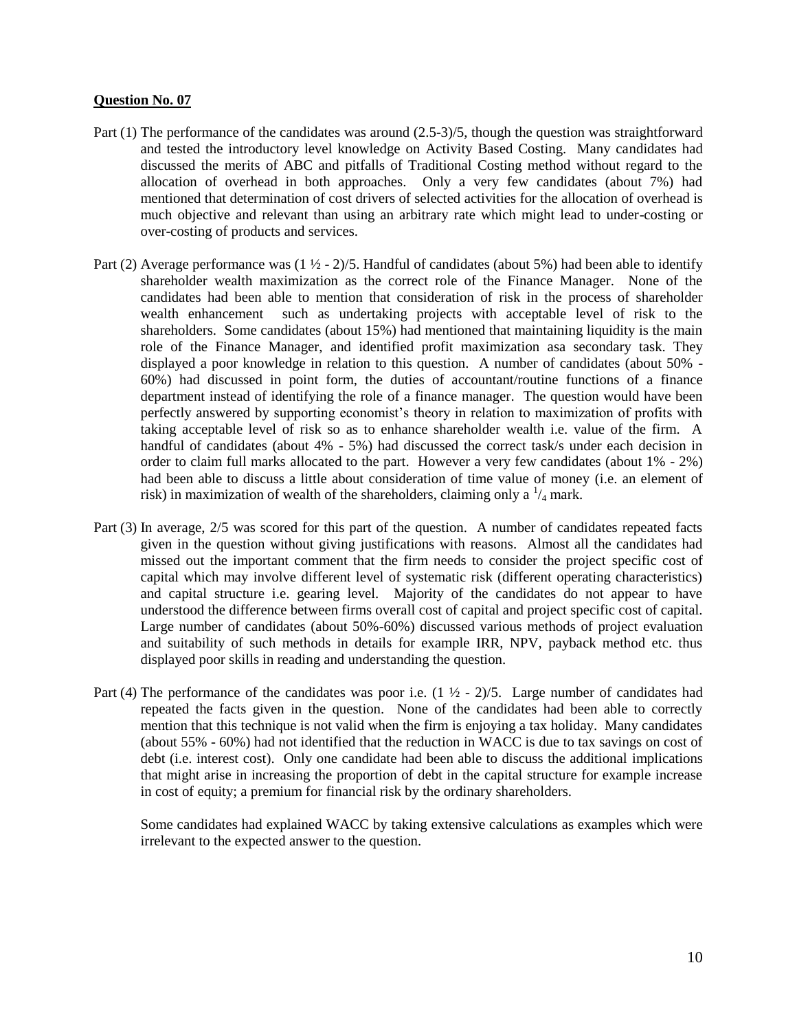- Part (1) The performance of the candidates was around (2.5-3)/5, though the question was straightforward and tested the introductory level knowledge on Activity Based Costing. Many candidates had discussed the merits of ABC and pitfalls of Traditional Costing method without regard to the allocation of overhead in both approaches. Only a very few candidates (about 7%) had mentioned that determination of cost drivers of selected activities for the allocation of overhead is much objective and relevant than using an arbitrary rate which might lead to under-costing or over-costing of products and services.
- Part (2) Average performance was  $(1 \frac{1}{2} 2)/5$ . Handful of candidates (about 5%) had been able to identify shareholder wealth maximization as the correct role of the Finance Manager. None of the candidates had been able to mention that consideration of risk in the process of shareholder wealth enhancement such as undertaking projects with acceptable level of risk to the shareholders. Some candidates (about 15%) had mentioned that maintaining liquidity is the main role of the Finance Manager, and identified profit maximization asa secondary task. They displayed a poor knowledge in relation to this question. A number of candidates (about 50% - 60%) had discussed in point form, the duties of accountant/routine functions of a finance department instead of identifying the role of a finance manager. The question would have been perfectly answered by supporting economist's theory in relation to maximization of profits with taking acceptable level of risk so as to enhance shareholder wealth i.e. value of the firm. A handful of candidates (about 4% - 5%) had discussed the correct task/s under each decision in order to claim full marks allocated to the part. However a very few candidates (about 1% - 2%) had been able to discuss a little about consideration of time value of money (i.e. an element of risk) in maximization of wealth of the shareholders, claiming only a  $\frac{1}{4}$  mark.
- Part (3) In average, 2/5 was scored for this part of the question. A number of candidates repeated facts given in the question without giving justifications with reasons. Almost all the candidates had missed out the important comment that the firm needs to consider the project specific cost of capital which may involve different level of systematic risk (different operating characteristics) and capital structure i.e. gearing level. Majority of the candidates do not appear to have understood the difference between firms overall cost of capital and project specific cost of capital. Large number of candidates (about 50%-60%) discussed various methods of project evaluation and suitability of such methods in details for example IRR, NPV, payback method etc. thus displayed poor skills in reading and understanding the question.
- Part (4) The performance of the candidates was poor i.e.  $(1 \frac{1}{2} 2)/5$ . Large number of candidates had repeated the facts given in the question. None of the candidates had been able to correctly mention that this technique is not valid when the firm is enjoying a tax holiday. Many candidates (about 55% - 60%) had not identified that the reduction in WACC is due to tax savings on cost of debt (i.e. interest cost). Only one candidate had been able to discuss the additional implications that might arise in increasing the proportion of debt in the capital structure for example increase in cost of equity; a premium for financial risk by the ordinary shareholders.

Some candidates had explained WACC by taking extensive calculations as examples which were irrelevant to the expected answer to the question.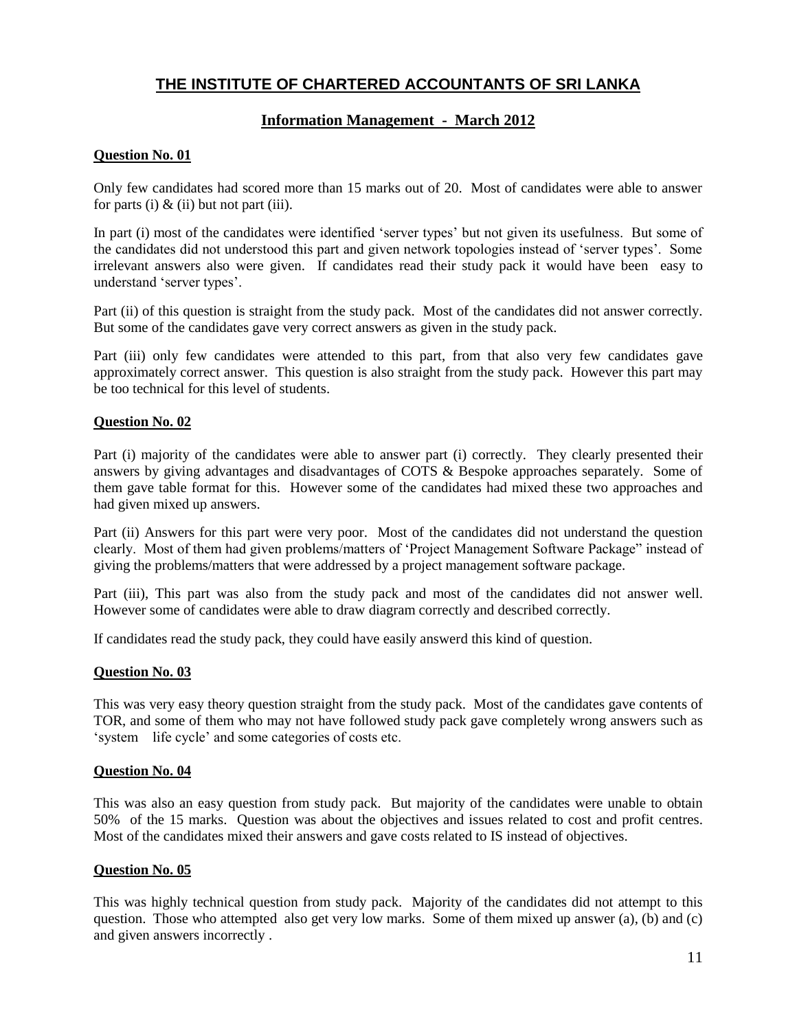# **Information Management - March 2012**

# **Question No. 01**

Only few candidates had scored more than 15 marks out of 20. Most of candidates were able to answer for parts (i)  $\&$  (ii) but not part (iii).

In part (i) most of the candidates were identified 'server types' but not given its usefulness. But some of the candidates did not understood this part and given network topologies instead of 'server types'. Some irrelevant answers also were given. If candidates read their study pack it would have been easy to understand 'server types'.

Part (ii) of this question is straight from the study pack. Most of the candidates did not answer correctly. But some of the candidates gave very correct answers as given in the study pack.

Part (iii) only few candidates were attended to this part, from that also very few candidates gave approximately correct answer. This question is also straight from the study pack. However this part may be too technical for this level of students.

### **Question No. 02**

Part (i) majority of the candidates were able to answer part (i) correctly. They clearly presented their answers by giving advantages and disadvantages of COTS & Bespoke approaches separately. Some of them gave table format for this. However some of the candidates had mixed these two approaches and had given mixed up answers.

Part (ii) Answers for this part were very poor. Most of the candidates did not understand the question clearly. Most of them had given problems/matters of 'Project Management Software Package" instead of giving the problems/matters that were addressed by a project management software package.

Part (iii), This part was also from the study pack and most of the candidates did not answer well. However some of candidates were able to draw diagram correctly and described correctly.

If candidates read the study pack, they could have easily answerd this kind of question.

### **Question No. 03**

This was very easy theory question straight from the study pack. Most of the candidates gave contents of TOR, and some of them who may not have followed study pack gave completely wrong answers such as 'system life cycle' and some categories of costs etc.

### **Question No. 04**

This was also an easy question from study pack. But majority of the candidates were unable to obtain 50% of the 15 marks. Question was about the objectives and issues related to cost and profit centres. Most of the candidates mixed their answers and gave costs related to IS instead of objectives.

### **Question No. 05**

This was highly technical question from study pack. Majority of the candidates did not attempt to this question. Those who attempted also get very low marks. Some of them mixed up answer  $(a)$ ,  $(b)$  and  $(c)$ and given answers incorrectly .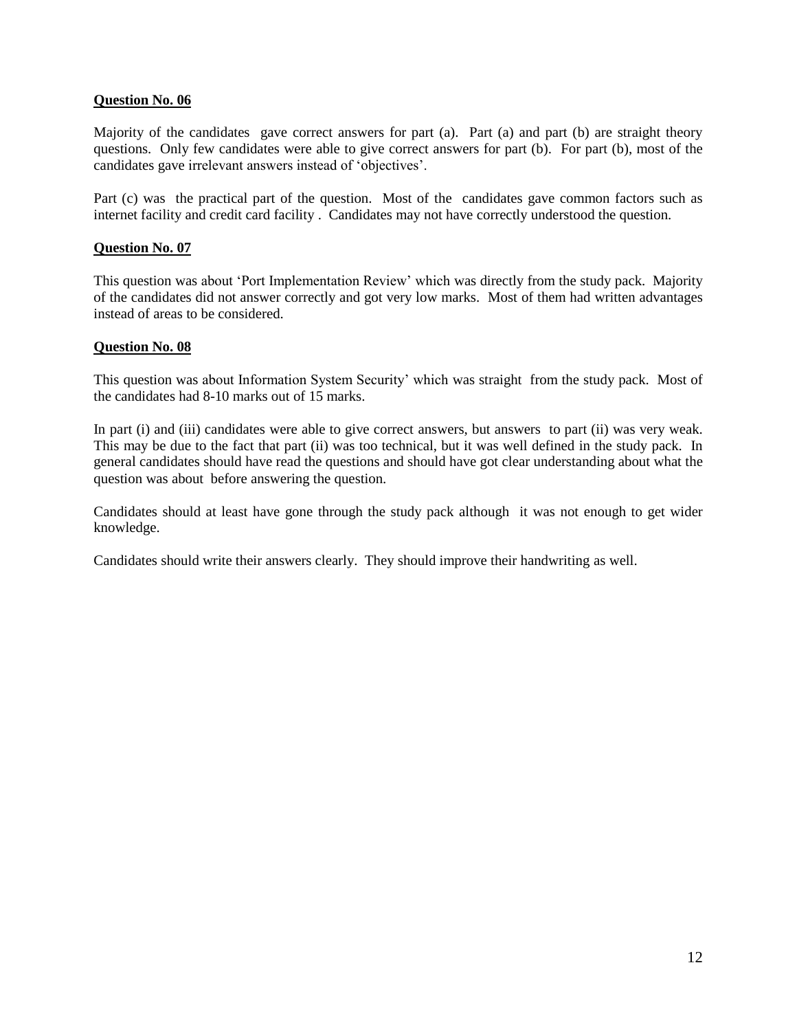Majority of the candidates gave correct answers for part (a). Part (a) and part (b) are straight theory questions. Only few candidates were able to give correct answers for part (b). For part (b), most of the candidates gave irrelevant answers instead of 'objectives'.

Part (c) was the practical part of the question. Most of the candidates gave common factors such as internet facility and credit card facility . Candidates may not have correctly understood the question.

### **Question No. 07**

This question was about 'Port Implementation Review' which was directly from the study pack. Majority of the candidates did not answer correctly and got very low marks. Most of them had written advantages instead of areas to be considered.

### **Question No. 08**

This question was about Information System Security' which was straight from the study pack. Most of the candidates had 8-10 marks out of 15 marks.

In part (i) and (iii) candidates were able to give correct answers, but answers to part (ii) was very weak. This may be due to the fact that part (ii) was too technical, but it was well defined in the study pack. In general candidates should have read the questions and should have got clear understanding about what the question was about before answering the question.

Candidates should at least have gone through the study pack although it was not enough to get wider knowledge.

Candidates should write their answers clearly. They should improve their handwriting as well.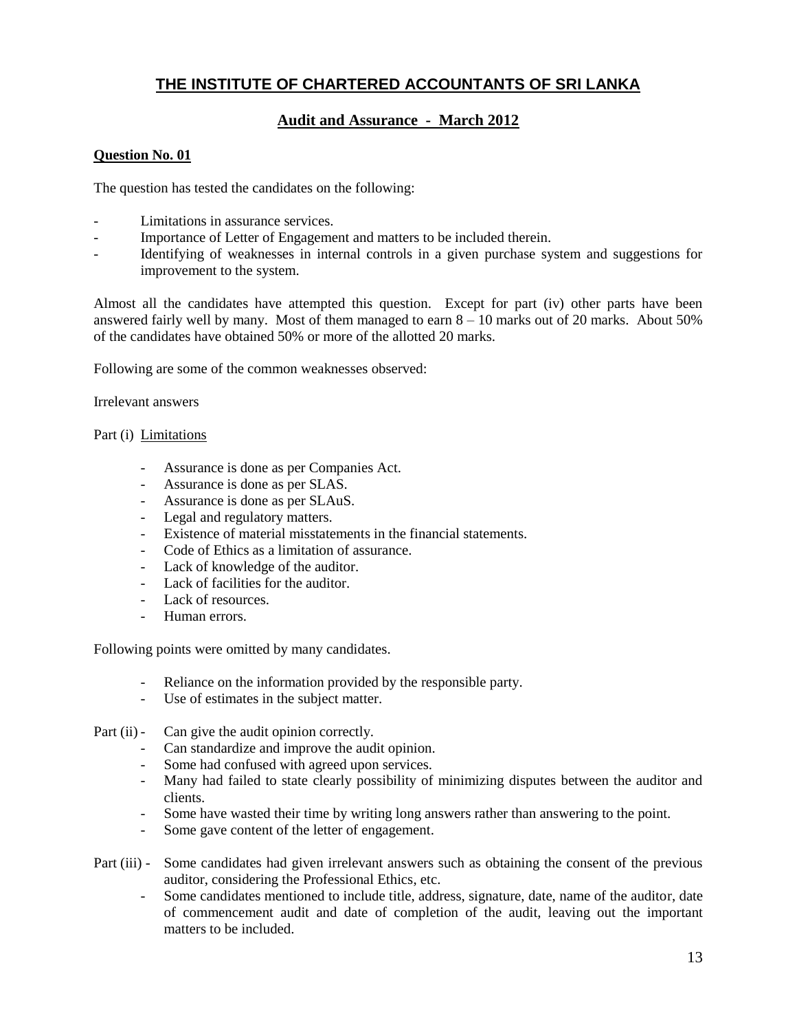# **Audit and Assurance - March 2012**

### **Question No. 01**

The question has tested the candidates on the following:

- Limitations in assurance services.
- Importance of Letter of Engagement and matters to be included therein.
- Identifying of weaknesses in internal controls in a given purchase system and suggestions for improvement to the system.

Almost all the candidates have attempted this question. Except for part (iv) other parts have been answered fairly well by many. Most of them managed to earn  $8 - 10$  marks out of 20 marks. About 50% of the candidates have obtained 50% or more of the allotted 20 marks.

Following are some of the common weaknesses observed:

Irrelevant answers

### Part (i) Limitations

- Assurance is done as per Companies Act.
- Assurance is done as per SLAS.
- Assurance is done as per SLAuS.
- Legal and regulatory matters.
- Existence of material misstatements in the financial statements.
- Code of Ethics as a limitation of assurance.
- Lack of knowledge of the auditor.
- Lack of facilities for the auditor.
- Lack of resources.
- Human errors.

Following points were omitted by many candidates.

- Reliance on the information provided by the responsible party.
- Use of estimates in the subject matter.

Part (ii) - Can give the audit opinion correctly.

- Can standardize and improve the audit opinion.
- Some had confused with agreed upon services.
- Many had failed to state clearly possibility of minimizing disputes between the auditor and clients.
- Some have wasted their time by writing long answers rather than answering to the point.
- Some gave content of the letter of engagement.
- Part (iii) Some candidates had given irrelevant answers such as obtaining the consent of the previous auditor, considering the Professional Ethics, etc.
	- Some candidates mentioned to include title, address, signature, date, name of the auditor, date of commencement audit and date of completion of the audit, leaving out the important matters to be included.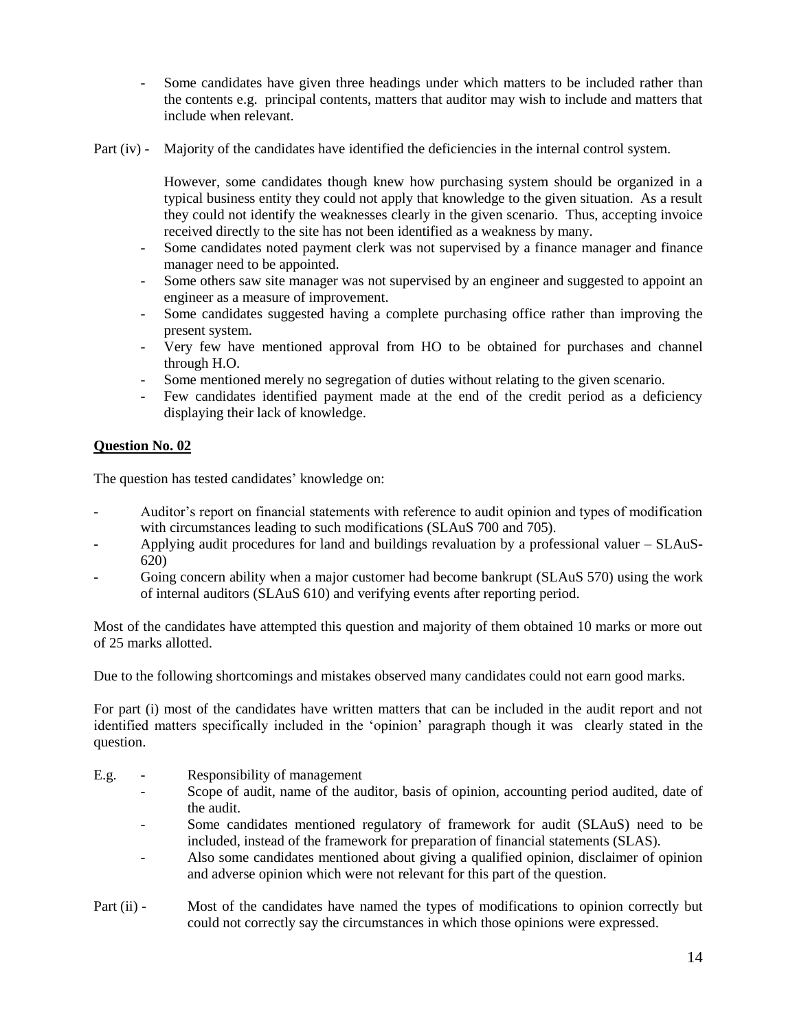- Some candidates have given three headings under which matters to be included rather than the contents e.g. principal contents, matters that auditor may wish to include and matters that include when relevant.
- Part (iv) Majority of the candidates have identified the deficiencies in the internal control system.

However, some candidates though knew how purchasing system should be organized in a typical business entity they could not apply that knowledge to the given situation. As a result they could not identify the weaknesses clearly in the given scenario. Thus, accepting invoice received directly to the site has not been identified as a weakness by many.

- Some candidates noted payment clerk was not supervised by a finance manager and finance manager need to be appointed.
- Some others saw site manager was not supervised by an engineer and suggested to appoint an engineer as a measure of improvement.
- Some candidates suggested having a complete purchasing office rather than improving the present system.
- Very few have mentioned approval from HO to be obtained for purchases and channel through H.O.
- Some mentioned merely no segregation of duties without relating to the given scenario.
- Few candidates identified payment made at the end of the credit period as a deficiency displaying their lack of knowledge.

# **Question No. 02**

The question has tested candidates' knowledge on:

- Auditor's report on financial statements with reference to audit opinion and types of modification with circumstances leading to such modifications (SLAuS 700 and 705).
- Applying audit procedures for land and buildings revaluation by a professional valuer SLAuS-620)
- Going concern ability when a major customer had become bankrupt (SLAuS 570) using the work of internal auditors (SLAuS 610) and verifying events after reporting period.

Most of the candidates have attempted this question and majority of them obtained 10 marks or more out of 25 marks allotted.

Due to the following shortcomings and mistakes observed many candidates could not earn good marks.

For part (i) most of the candidates have written matters that can be included in the audit report and not identified matters specifically included in the 'opinion' paragraph though it was clearly stated in the question.

- E.g. Responsibility of management
	- Scope of audit, name of the auditor, basis of opinion, accounting period audited, date of the audit.
	- Some candidates mentioned regulatory of framework for audit (SLAuS) need to be included, instead of the framework for preparation of financial statements (SLAS).
	- Also some candidates mentioned about giving a qualified opinion, disclaimer of opinion and adverse opinion which were not relevant for this part of the question.
- Part (ii) Most of the candidates have named the types of modifications to opinion correctly but could not correctly say the circumstances in which those opinions were expressed.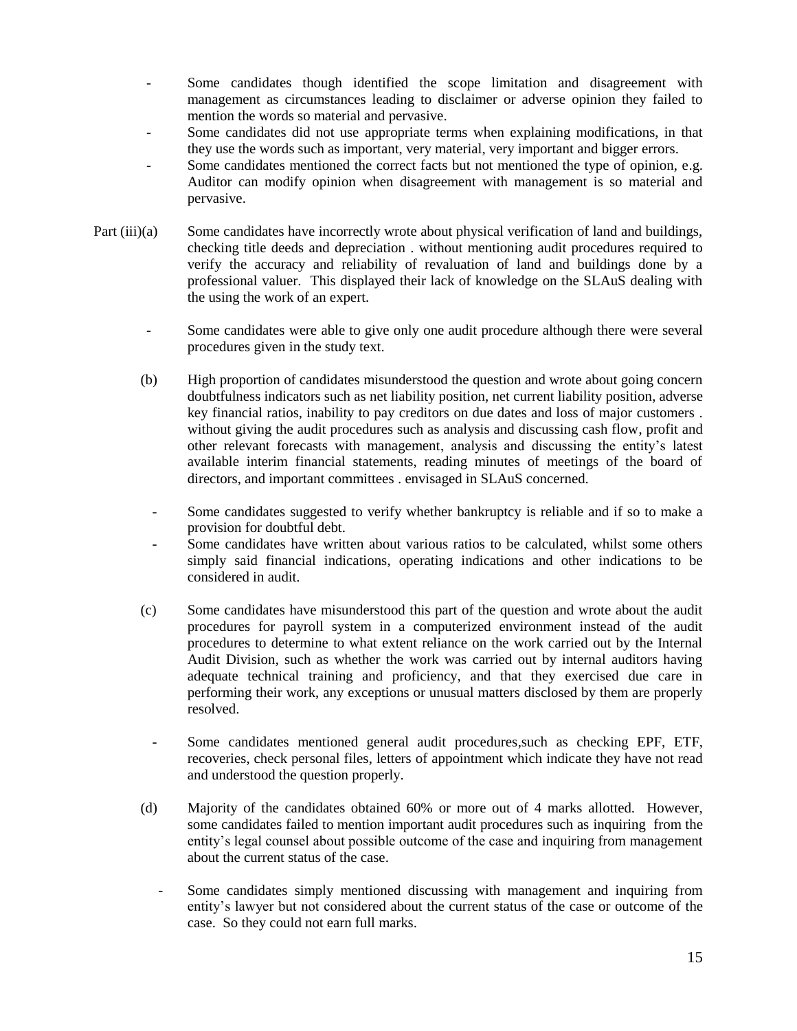- Some candidates though identified the scope limitation and disagreement with management as circumstances leading to disclaimer or adverse opinion they failed to mention the words so material and pervasive.
- Some candidates did not use appropriate terms when explaining modifications, in that they use the words such as important, very material, very important and bigger errors.
- Some candidates mentioned the correct facts but not mentioned the type of opinion, e.g. Auditor can modify opinion when disagreement with management is so material and pervasive.
- Part (iii)(a) Some candidates have incorrectly wrote about physical verification of land and buildings, checking title deeds and depreciation . without mentioning audit procedures required to verify the accuracy and reliability of revaluation of land and buildings done by a professional valuer. This displayed their lack of knowledge on the SLAuS dealing with the using the work of an expert.
	- Some candidates were able to give only one audit procedure although there were several procedures given in the study text.
	- (b) High proportion of candidates misunderstood the question and wrote about going concern doubtfulness indicators such as net liability position, net current liability position, adverse key financial ratios, inability to pay creditors on due dates and loss of major customers . without giving the audit procedures such as analysis and discussing cash flow, profit and other relevant forecasts with management, analysis and discussing the entity's latest available interim financial statements, reading minutes of meetings of the board of directors, and important committees . envisaged in SLAuS concerned.
		- Some candidates suggested to verify whether bankruptcy is reliable and if so to make a provision for doubtful debt.
		- Some candidates have written about various ratios to be calculated, whilst some others simply said financial indications, operating indications and other indications to be considered in audit.
	- (c) Some candidates have misunderstood this part of the question and wrote about the audit procedures for payroll system in a computerized environment instead of the audit procedures to determine to what extent reliance on the work carried out by the Internal Audit Division, such as whether the work was carried out by internal auditors having adequate technical training and proficiency, and that they exercised due care in performing their work, any exceptions or unusual matters disclosed by them are properly resolved.
		- Some candidates mentioned general audit procedures,such as checking EPF, ETF, recoveries, check personal files, letters of appointment which indicate they have not read and understood the question properly.
	- (d) Majority of the candidates obtained 60% or more out of 4 marks allotted. However, some candidates failed to mention important audit procedures such as inquiring from the entity's legal counsel about possible outcome of the case and inquiring from management about the current status of the case.
		- Some candidates simply mentioned discussing with management and inquiring from entity's lawyer but not considered about the current status of the case or outcome of the case. So they could not earn full marks.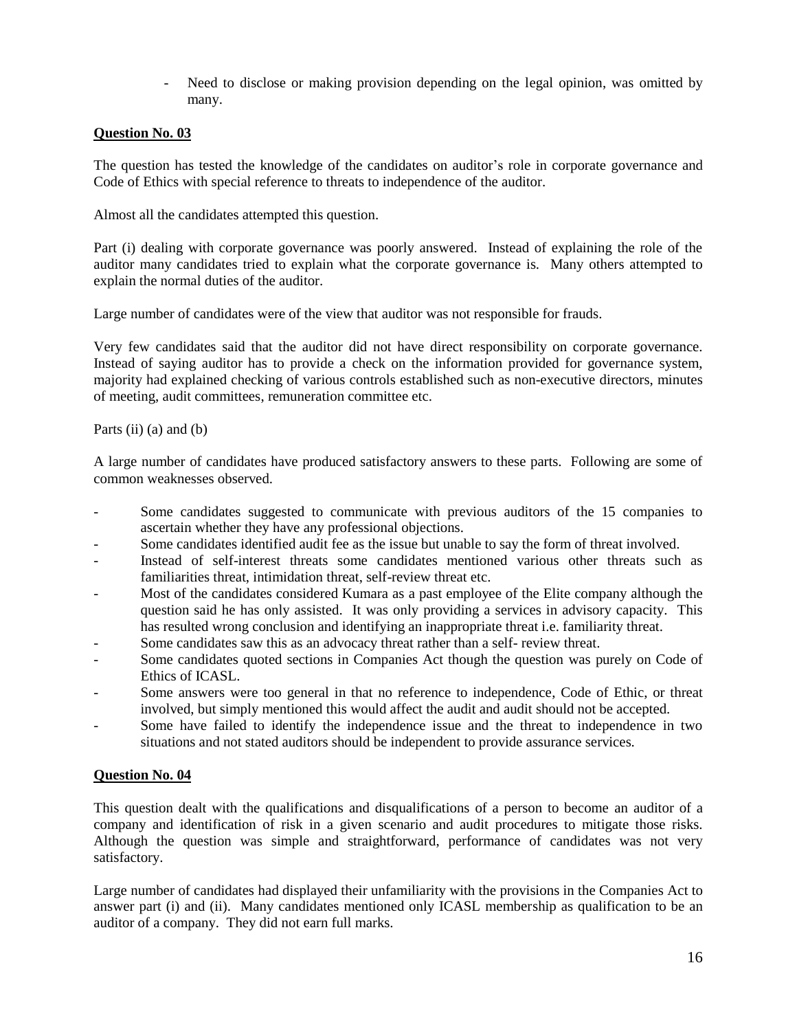- Need to disclose or making provision depending on the legal opinion, was omitted by many.

# **Question No. 03**

The question has tested the knowledge of the candidates on auditor's role in corporate governance and Code of Ethics with special reference to threats to independence of the auditor.

Almost all the candidates attempted this question.

Part (i) dealing with corporate governance was poorly answered. Instead of explaining the role of the auditor many candidates tried to explain what the corporate governance is. Many others attempted to explain the normal duties of the auditor.

Large number of candidates were of the view that auditor was not responsible for frauds.

Very few candidates said that the auditor did not have direct responsibility on corporate governance. Instead of saying auditor has to provide a check on the information provided for governance system, majority had explained checking of various controls established such as non-executive directors, minutes of meeting, audit committees, remuneration committee etc.

Parts (ii) (a) and (b)

A large number of candidates have produced satisfactory answers to these parts. Following are some of common weaknesses observed.

- Some candidates suggested to communicate with previous auditors of the 15 companies to ascertain whether they have any professional objections.
- Some candidates identified audit fee as the issue but unable to say the form of threat involved.
- Instead of self-interest threats some candidates mentioned various other threats such as familiarities threat, intimidation threat, self-review threat etc.
- Most of the candidates considered Kumara as a past employee of the Elite company although the question said he has only assisted. It was only providing a services in advisory capacity. This has resulted wrong conclusion and identifying an inappropriate threat i.e. familiarity threat.
- Some candidates saw this as an advocacy threat rather than a self- review threat.
- Some candidates quoted sections in Companies Act though the question was purely on Code of Ethics of ICASL.
- Some answers were too general in that no reference to independence, Code of Ethic, or threat involved, but simply mentioned this would affect the audit and audit should not be accepted.
- Some have failed to identify the independence issue and the threat to independence in two situations and not stated auditors should be independent to provide assurance services.

# **Question No. 04**

This question dealt with the qualifications and disqualifications of a person to become an auditor of a company and identification of risk in a given scenario and audit procedures to mitigate those risks. Although the question was simple and straightforward, performance of candidates was not very satisfactory.

Large number of candidates had displayed their unfamiliarity with the provisions in the Companies Act to answer part (i) and (ii). Many candidates mentioned only ICASL membership as qualification to be an auditor of a company. They did not earn full marks.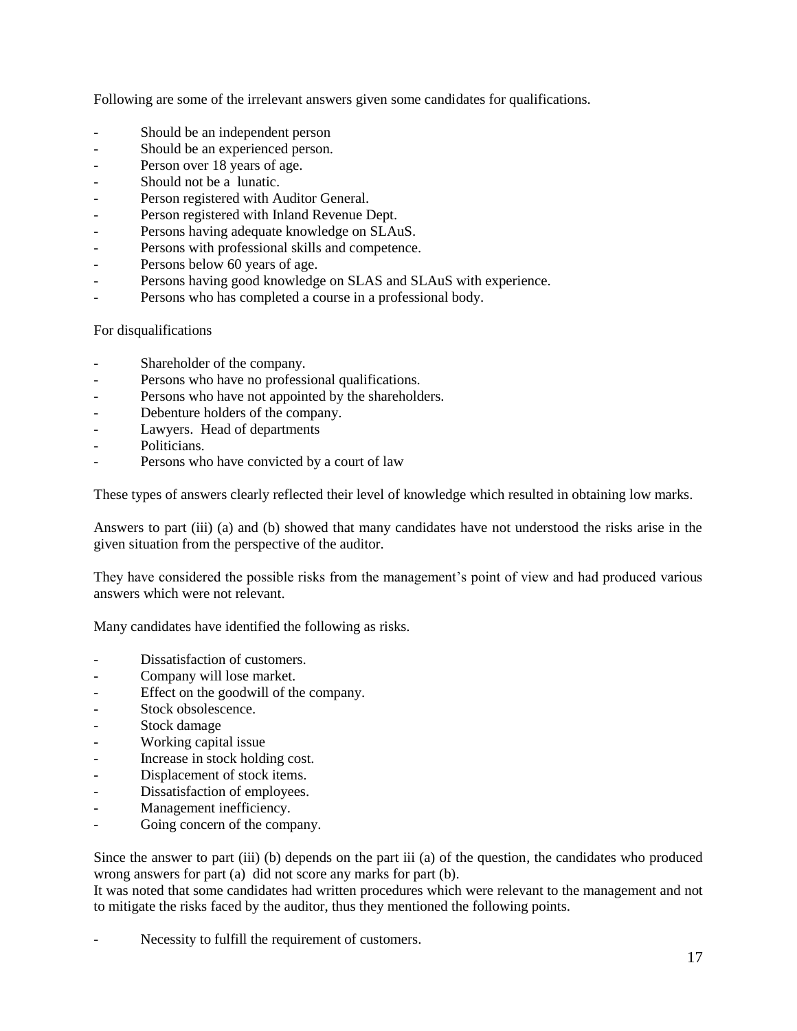Following are some of the irrelevant answers given some candidates for qualifications.

- Should be an independent person
- Should be an experienced person.
- Person over 18 years of age.
- Should not be a lunatic.
- Person registered with Auditor General.
- Person registered with Inland Revenue Dept.
- Persons having adequate knowledge on SLAuS.
- Persons with professional skills and competence.
- Persons below 60 years of age.
- Persons having good knowledge on SLAS and SLAuS with experience.
- Persons who has completed a course in a professional body.

# For disqualifications

- Shareholder of the company.
- Persons who have no professional qualifications.
- Persons who have not appointed by the shareholders.
- Debenture holders of the company.
- Lawyers. Head of departments
- Politicians.
- Persons who have convicted by a court of law

These types of answers clearly reflected their level of knowledge which resulted in obtaining low marks.

Answers to part (iii) (a) and (b) showed that many candidates have not understood the risks arise in the given situation from the perspective of the auditor.

They have considered the possible risks from the management's point of view and had produced various answers which were not relevant.

Many candidates have identified the following as risks.

- Dissatisfaction of customers.
- Company will lose market.
- Effect on the goodwill of the company.
- Stock obsolescence.
- Stock damage
- Working capital issue
- Increase in stock holding cost.
- Displacement of stock items.
- Dissatisfaction of employees.
- Management inefficiency.
- Going concern of the company.

Since the answer to part (iii) (b) depends on the part iii (a) of the question, the candidates who produced wrong answers for part (a) did not score any marks for part (b).

It was noted that some candidates had written procedures which were relevant to the management and not to mitigate the risks faced by the auditor, thus they mentioned the following points.

Necessity to fulfill the requirement of customers.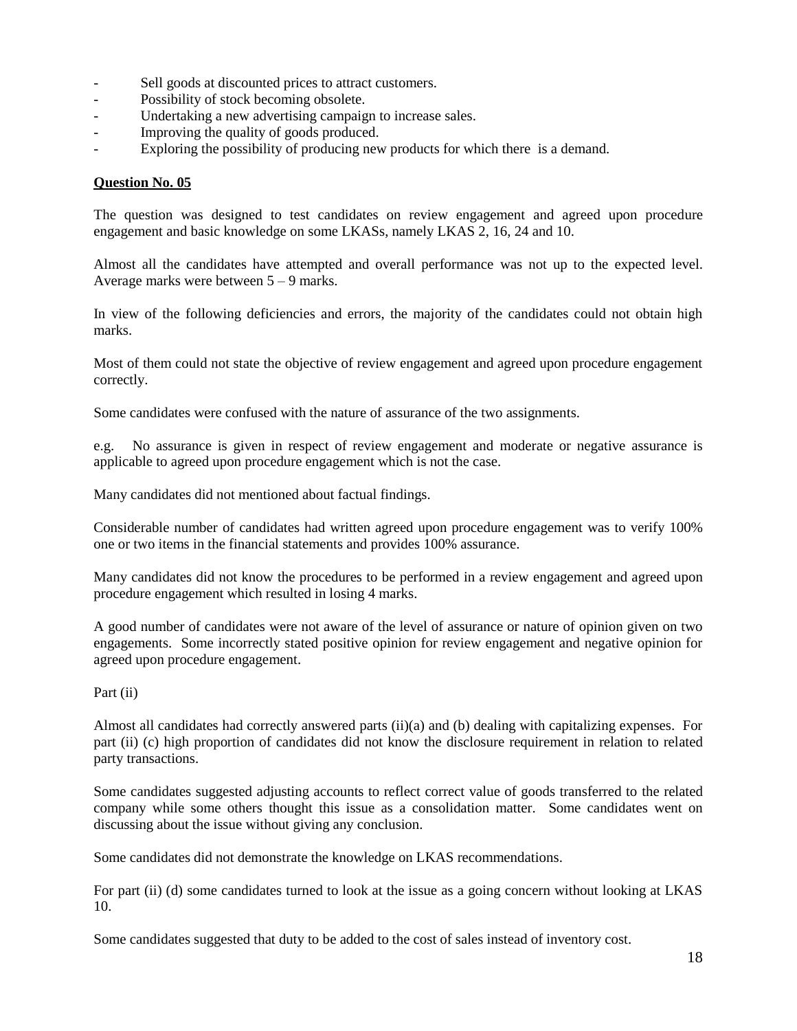- Sell goods at discounted prices to attract customers.
- Possibility of stock becoming obsolete.
- Undertaking a new advertising campaign to increase sales.
- Improving the quality of goods produced.
- Exploring the possibility of producing new products for which there is a demand.

The question was designed to test candidates on review engagement and agreed upon procedure engagement and basic knowledge on some LKASs, namely LKAS 2, 16, 24 and 10.

Almost all the candidates have attempted and overall performance was not up to the expected level. Average marks were between 5 – 9 marks.

In view of the following deficiencies and errors, the majority of the candidates could not obtain high marks.

Most of them could not state the objective of review engagement and agreed upon procedure engagement correctly.

Some candidates were confused with the nature of assurance of the two assignments.

e.g. No assurance is given in respect of review engagement and moderate or negative assurance is applicable to agreed upon procedure engagement which is not the case.

Many candidates did not mentioned about factual findings.

Considerable number of candidates had written agreed upon procedure engagement was to verify 100% one or two items in the financial statements and provides 100% assurance.

Many candidates did not know the procedures to be performed in a review engagement and agreed upon procedure engagement which resulted in losing 4 marks.

A good number of candidates were not aware of the level of assurance or nature of opinion given on two engagements. Some incorrectly stated positive opinion for review engagement and negative opinion for agreed upon procedure engagement.

Part (ii)

Almost all candidates had correctly answered parts (ii)(a) and (b) dealing with capitalizing expenses. For part (ii) (c) high proportion of candidates did not know the disclosure requirement in relation to related party transactions.

Some candidates suggested adjusting accounts to reflect correct value of goods transferred to the related company while some others thought this issue as a consolidation matter. Some candidates went on discussing about the issue without giving any conclusion.

Some candidates did not demonstrate the knowledge on LKAS recommendations.

For part (ii) (d) some candidates turned to look at the issue as a going concern without looking at LKAS 10.

Some candidates suggested that duty to be added to the cost of sales instead of inventory cost.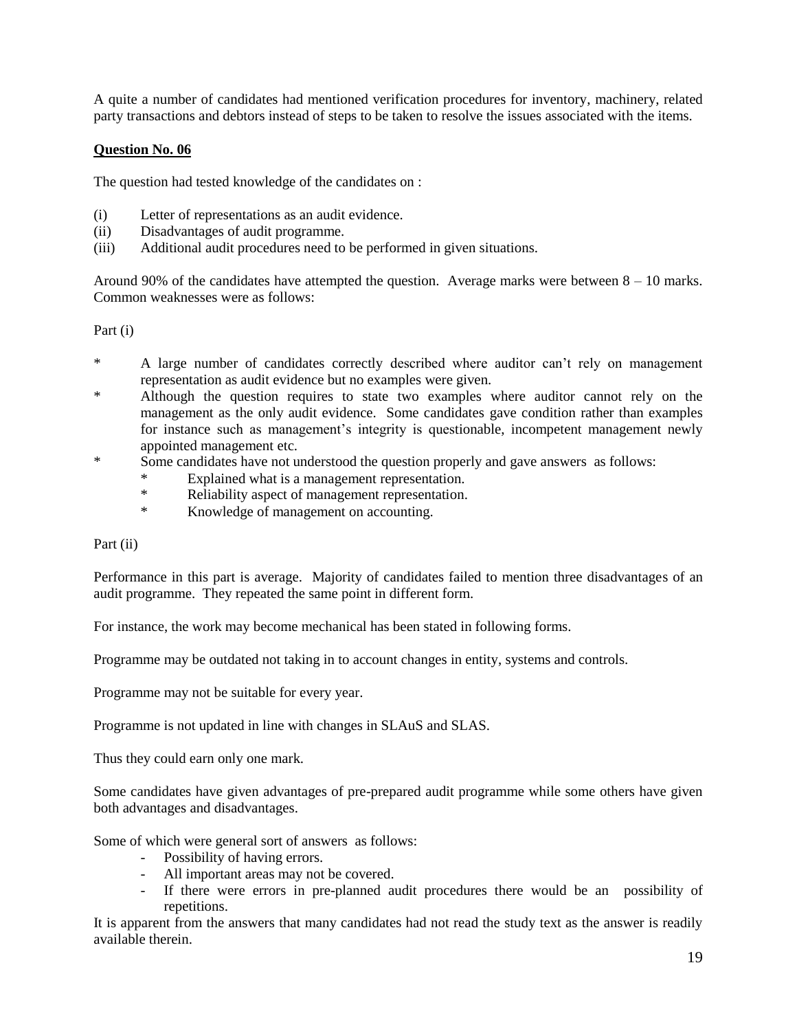A quite a number of candidates had mentioned verification procedures for inventory, machinery, related party transactions and debtors instead of steps to be taken to resolve the issues associated with the items.

# **Question No. 06**

The question had tested knowledge of the candidates on :

- (i) Letter of representations as an audit evidence.
- (ii) Disadvantages of audit programme.
- (iii) Additional audit procedures need to be performed in given situations.

Around 90% of the candidates have attempted the question. Average marks were between  $8 - 10$  marks. Common weaknesses were as follows:

Part (i)

- A large number of candidates correctly described where auditor can't rely on management representation as audit evidence but no examples were given.
- \* Although the question requires to state two examples where auditor cannot rely on the management as the only audit evidence. Some candidates gave condition rather than examples for instance such as management's integrity is questionable, incompetent management newly appointed management etc.
- \* Some candidates have not understood the question properly and gave answers as follows:
	- Explained what is a management representation.
	- \* Reliability aspect of management representation.
	- \* Knowledge of management on accounting.

Part (ii)

Performance in this part is average. Majority of candidates failed to mention three disadvantages of an audit programme. They repeated the same point in different form.

For instance, the work may become mechanical has been stated in following forms.

Programme may be outdated not taking in to account changes in entity, systems and controls.

Programme may not be suitable for every year.

Programme is not updated in line with changes in SLAuS and SLAS.

Thus they could earn only one mark.

Some candidates have given advantages of pre-prepared audit programme while some others have given both advantages and disadvantages.

Some of which were general sort of answers as follows:

- Possibility of having errors.
- All important areas may not be covered.
- If there were errors in pre-planned audit procedures there would be an possibility of repetitions.

It is apparent from the answers that many candidates had not read the study text as the answer is readily available therein.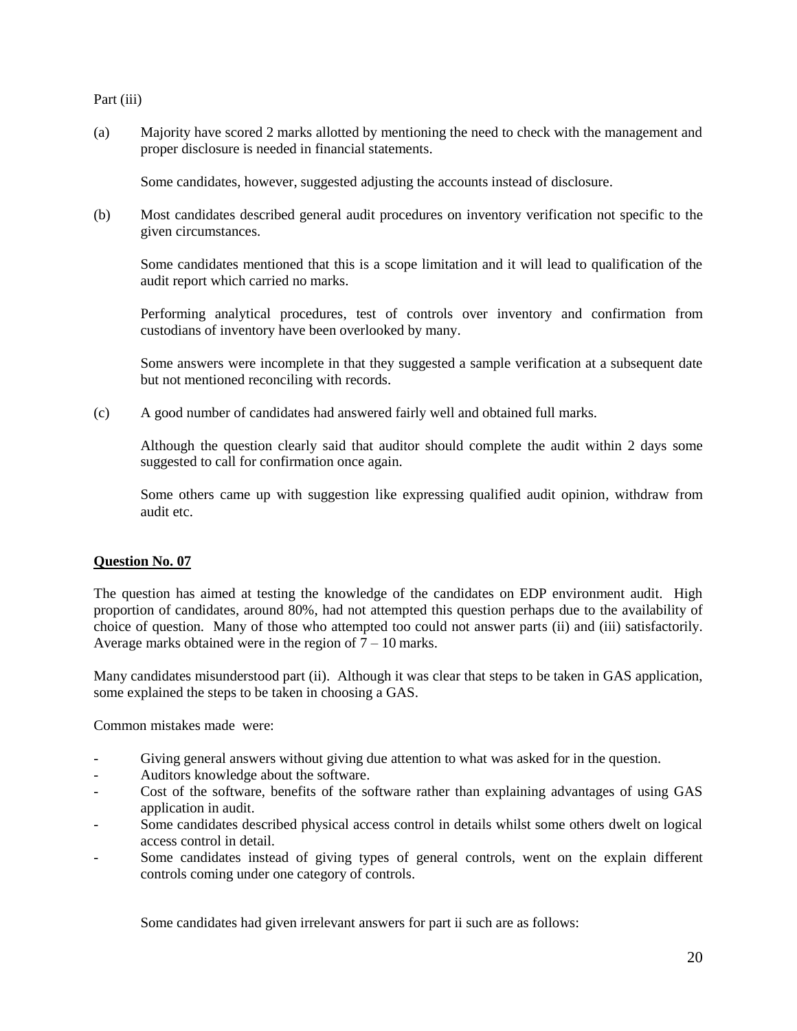#### Part (iii)

(a) Majority have scored 2 marks allotted by mentioning the need to check with the management and proper disclosure is needed in financial statements.

Some candidates, however, suggested adjusting the accounts instead of disclosure.

(b) Most candidates described general audit procedures on inventory verification not specific to the given circumstances.

Some candidates mentioned that this is a scope limitation and it will lead to qualification of the audit report which carried no marks.

Performing analytical procedures, test of controls over inventory and confirmation from custodians of inventory have been overlooked by many.

Some answers were incomplete in that they suggested a sample verification at a subsequent date but not mentioned reconciling with records.

(c) A good number of candidates had answered fairly well and obtained full marks.

Although the question clearly said that auditor should complete the audit within 2 days some suggested to call for confirmation once again.

Some others came up with suggestion like expressing qualified audit opinion, withdraw from audit etc.

### **Question No. 07**

The question has aimed at testing the knowledge of the candidates on EDP environment audit. High proportion of candidates, around 80%, had not attempted this question perhaps due to the availability of choice of question. Many of those who attempted too could not answer parts (ii) and (iii) satisfactorily. Average marks obtained were in the region of  $7 - 10$  marks.

Many candidates misunderstood part (ii). Although it was clear that steps to be taken in GAS application, some explained the steps to be taken in choosing a GAS.

Common mistakes made were:

- Giving general answers without giving due attention to what was asked for in the question.
- Auditors knowledge about the software.
- Cost of the software, benefits of the software rather than explaining advantages of using GAS application in audit.
- Some candidates described physical access control in details whilst some others dwelt on logical access control in detail.
- Some candidates instead of giving types of general controls, went on the explain different controls coming under one category of controls.

Some candidates had given irrelevant answers for part ii such are as follows: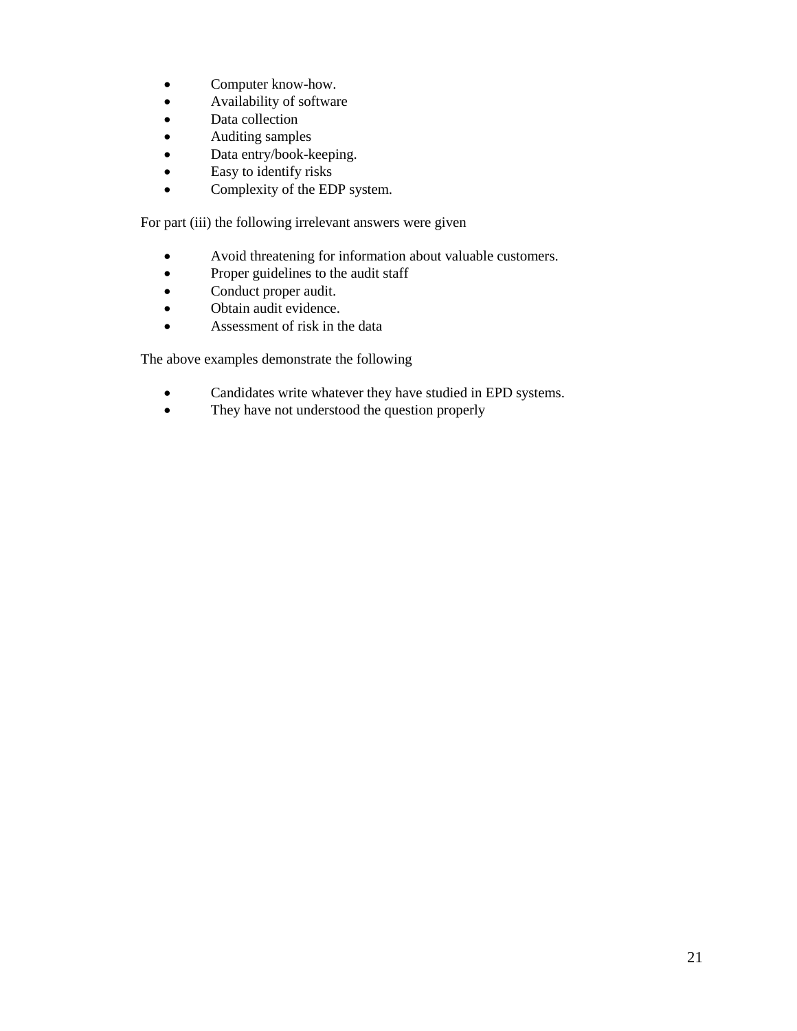- Computer know-how.
- Availability of software
- Data collection
- Auditing samples
- Data entry/book-keeping.
- Easy to identify risks
- Complexity of the EDP system.

For part (iii) the following irrelevant answers were given

- Avoid threatening for information about valuable customers.
- Proper guidelines to the audit staff
- Conduct proper audit.
- Obtain audit evidence.
- Assessment of risk in the data

The above examples demonstrate the following

- Candidates write whatever they have studied in EPD systems.
- They have not understood the question properly